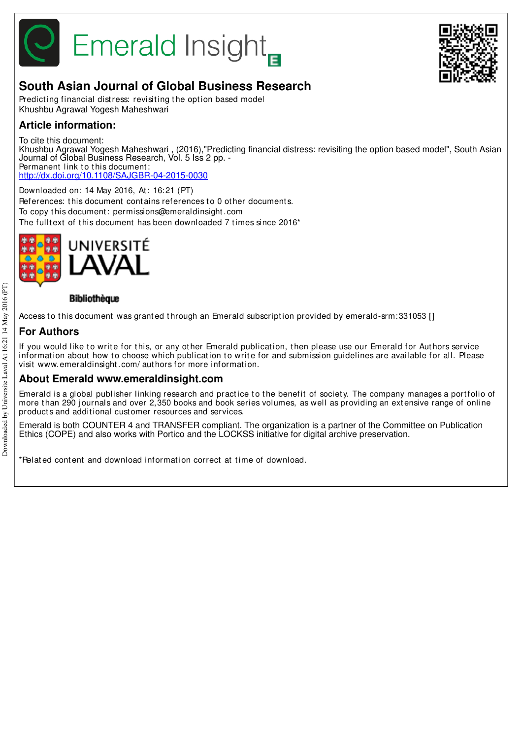

# **Emerald Insight**



# **South Asian Journal of Global Business Research**

Predicting financial distress: revisiting the option based model Khushbu Agrawal Yogesh Maheshwari

# **Article information:**

To cite this document:

Khushbu Agrawal Yogesh Maheshwari , (2016),"Predicting financial distress: revisiting the option based model", South Asian Journal of Global Business Research, Vol. 5 Iss 2 pp. -Permanent link to this document: http://dx.doi.org/10.1108/SAJGBR-04-2015-0030

Downloaded on: 14 May 2016, At: 16:21 (PT) References: this document contains references to 0 other documents. To copy t his document : permissions@emeraldinsight .com The fulltext of this document has been downloaded 7 times since 2016\*



# Bibliothèque

Access to this document was granted through an Emerald subscription provided by emerald-srm:331053 []

# **For Authors**

If you would like to write for this, or any other Emerald publication, then please use our Emerald for Authors service information about how to choose which publication to write for and submission guidelines are available for all. Please visit www.emeraldinsight .com/ aut hors for more informat ion.

# **About Emerald www.emeraldinsight.com**

Emerald is a global publisher linking research and practice to the benefit of society. The company manages a portfolio of more than 290 journals and over 2,350 books and book series volumes, as well as providing an extensive range of online product s and addit ional cust omer resources and services.

Emerald is both COUNTER 4 and TRANSFER compliant. The organization is a partner of the Committee on Publication Ethics (COPE) and also works with Portico and the LOCKSS initiative for digital archive preservation.

\*Related content and download information correct at time of download.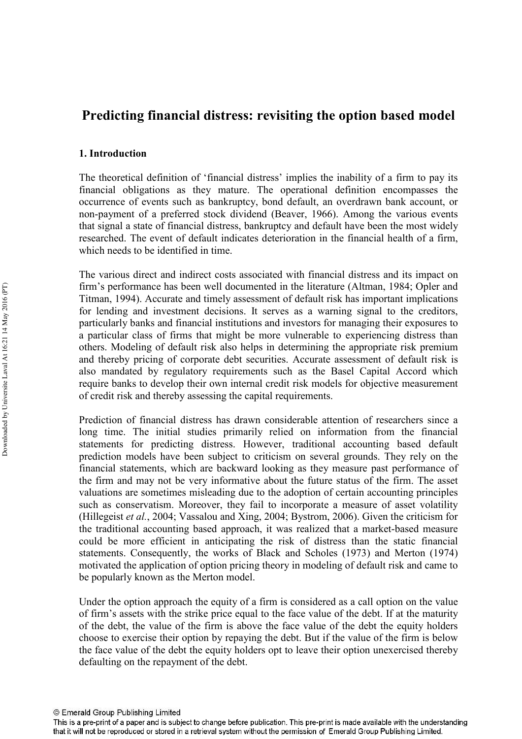# Predicting financial distress: revisiting the option based model

# 1. Introduction

The theoretical definition of 'financial distress' implies the inability of a firm to pay its financial obligations as they mature. The operational definition encompasses the occurrence of events such as bankruptcy, bond default, an overdrawn bank account, or non-payment of a preferred stock dividend (Beaver, 1966). Among the various events that signal a state of financial distress, bankruptcy and default have been the most widely researched. The event of default indicates deterioration in the financial health of a firm, which needs to be identified in time.

The various direct and indirect costs associated with financial distress and its impact on firm's performance has been well documented in the literature (Altman, 1984; Opler and Titman, 1994). Accurate and timely assessment of default risk has important implications for lending and investment decisions. It serves as a warning signal to the creditors, particularly banks and financial institutions and investors for managing their exposures to a particular class of firms that might be more vulnerable to experiencing distress than others. Modeling of default risk also helps in determining the appropriate risk premium and thereby pricing of corporate debt securities. Accurate assessment of default risk is also mandated by regulatory requirements such as the Basel Capital Accord which require banks to develop their own internal credit risk models for objective measurement of credit risk and thereby assessing the capital requirements.

Prediction of financial distress has drawn considerable attention of researchers since a long time. The initial studies primarily relied on information from the financial statements for predicting distress. However, traditional accounting based default prediction models have been subject to criticism on several grounds. They rely on the financial statements, which are backward looking as they measure past performance of the firm and may not be very informative about the future status of the firm. The asset valuations are sometimes misleading due to the adoption of certain accounting principles such as conservatism. Moreover, they fail to incorporate a measure of asset volatility (Hillegeist et al., 2004; Vassalou and Xing, 2004; Bystrom, 2006). Given the criticism for the traditional accounting based approach, it was realized that a market-based measure could be more efficient in anticipating the risk of distress than the static financial statements. Consequently, the works of Black and Scholes (1973) and Merton (1974) motivated the application of option pricing theory in modeling of default risk and came to be popularly known as the Merton model.

Under the option approach the equity of a firm is considered as a call option on the value of firm's assets with the strike price equal to the face value of the debt. If at the maturity of the debt, the value of the firm is above the face value of the debt the equity holders choose to exercise their option by repaying the debt. But if the value of the firm is below the face value of the debt the equity holders opt to leave their option unexercised thereby defaulting on the repayment of the debt.

This is a pre-print of a paper and is subject to change before publication. This pre-print is made available with the understanding that it will not be reproduced or stored in a retrieval system without the permission of Emerald Group Publishing Limited.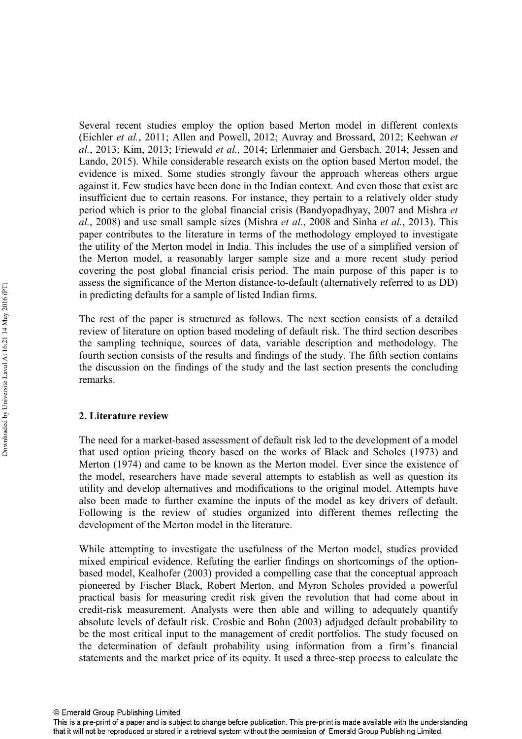Several recent studies employ the option based Merton model in different contexts (Eichler et al., 2011; Allen and Powell, 2012; Auvray and Brossard, 2012; Keehwan et al., 2013; Kim, 2013; Friewald et al., 2014; Erlenmaier and Gersbach, 2014; Jessen and Lando, 2015). While considerable research exists on the option based Merton model, the evidence is mixed. Some studies strongly favour the approach whereas others argue against it. Few studies have been done in the Indian context. And even those that exist are insufficient due to certain reasons. For instance, they pertain to a relatively older study period which is prior to the global financial crisis (Bandyopadhyay, 2007 and Mishra *et* al., 2008) and use small sample sizes (Mishra *et al.*, 2008 and Sinha *et al.*, 2013). This paper contributes to the literature in terms of the methodology employed to investigate the utility of the Merton model in India. This includes the use of a simplified version of the Merton model, a reasonably larger sample size and a more recent study period covering the post global financial crisis period. The main purpose of this paper is to assess the significance of the Merton distance-to-default (alternatively referred to as DD) in predicting defaults for a sample of listed Indian firms.

The rest of the paper is structured as follows. The next section consists of a detailed review of literature on option based modeling of default risk. The third section describes the sampling technique, sources of data, variable description and methodology. The fourth section consists of the results and findings of the study. The fifth section contains the discussion on the findings of the study and the last section presents the concluding remarks.

#### 2. Literature review

The need for a market-based assessment of default risk led to the development of a model that used option pricing theory based on the works of Black and Scholes (1973) and Merton (1974) and came to be known as the Merton model. Ever since the existence of the model, researchers have made several attempts to establish as well as question its utility and develop alternatives and modifications to the original model. Attempts have also been made to further examine the inputs of the model as key drivers of default. Following is the review of studies organized into different themes reflecting the development of the Merton model in the literature.

While attempting to investigate the usefulness of the Merton model, studies provided mixed empirical evidence. Refuting the earlier findings on shortcomings of the option based model, Kealhofer (2003) provided a compelling case that the conceptual approach pioneered by Fischer Black, Robert Merton, and Myron Scholes provided a powerful practical basis for measuring credit risk given the revolution that had come about in credit-risk measurement. Analysts were then able and willing to adequately quantify absolute levels of default risk. Crosbie and Bohn (2003) adjudged default probability to be the most critical input to the management of credit portfolios. The study focused on the determination of default probability using information from a firm's financial statements and the market price of its equity. It used a three-step process to calculate the

This is a pre-print of a paper and is subject to change before publication. This pre-print is made available with the understanding that it will not be reproduced or stored in a retrieval system without the permission of Emerald Group Publishing Limited.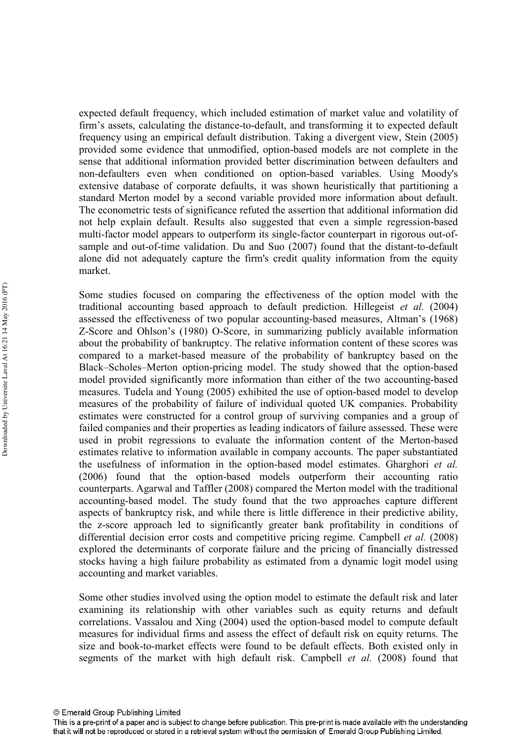expected default frequency, which included estimation of market value and volatility of firm's assets, calculating the distance-to-default, and transforming it to expected default frequency using an empirical default distribution. Taking a divergent view, Stein (2005) provided some evidence that unmodified, option-based models are not complete in the sense that additional information provided better discrimination between defaulters and non-defaulters even when conditioned on option-based variables. Using Moody's extensive database of corporate defaults, it was shown heuristically that partitioning a standard Merton model by a second variable provided more information about default. The econometric tests of significance refuted the assertion that additional information did not help explain default. Results also suggested that even a simple regression-based multi-factor model appears to outperform its single-factor counterpart in rigorous out-ofsample and out-of-time validation. Du and Suo  $(2007)$  found that the distant-to-default alone did not adequately capture the firm's credit quality information from the equity market.

Some studies focused on comparing the effectiveness of the option model with the traditional accounting based approach to default prediction. Hillegeist et al. (2004) assessed the effectiveness of two popular accounting-based measures, Altman's (1968) Z-Score and Ohlson's (1980) O-Score, in summarizing publicly available information about the probability of bankruptcy. The relative information content of these scores was compared to a market-based measure of the probability of bankruptcy based on the Black–Scholes–Merton option-pricing model. The study showed that the option-based model provided significantly more information than either of the two accounting-based measures. Tudela and Young (2005) exhibited the use of option-based model to develop measures of the probability of failure of individual quoted UK companies. Probability estimates were constructed for a control group of surviving companies and a group of failed companies and their properties as leading indicators of failure assessed. These were used in probit regressions to evaluate the information content of the Merton-based estimates relative to information available in company accounts. The paper substantiated the usefulness of information in the option-based model estimates. Gharghori et al.  $(2006)$  found that the option-based models outperform their accounting ratio counterparts. Agarwal and Taffler (2008) compared the Merton model with the traditional accounting-based model. The study found that the two approaches capture different aspects of bankruptcy risk, and while there is little difference in their predictive ability, the z-score approach led to significantly greater bank profitability in conditions of differential decision error costs and competitive pricing regime. Campbell et al. (2008) explored the determinants of corporate failure and the pricing of financially distressed stocks having a high failure probability as estimated from a dynamic logit model using accounting and market variables.

Some other studies involved using the option model to estimate the default risk and later examining its relationship with other variables such as equity returns and default correlations. Vassalou and Xing (2004) used the option-based model to compute default measures for individual firms and assess the effect of default risk on equity returns. The size and book-to-market effects were found to be default effects. Both existed only in segments of the market with high default risk. Campbell et al. (2008) found that

This is a pre-print of a paper and is subject to change before publication. This pre-print is made available with the understanding that it will not be reproduced or stored in a retrieval system without the permission of Emerald Group Publishing Limited.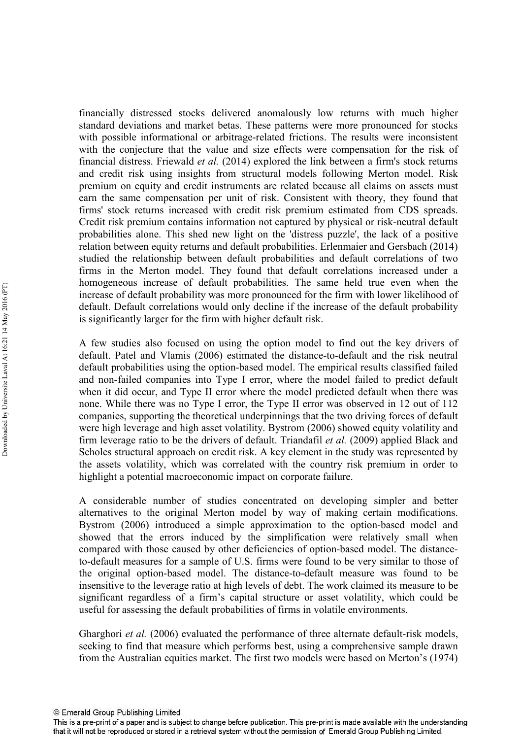financially distressed stocks delivered anomalously low returns with much higher standard deviations and market betas. These patterns were more pronounced for stocks with possible informational or arbitrage-related frictions. The results were inconsistent with the conjecture that the value and size effects were compensation for the risk of financial distress. Friewald et al. (2014) explored the link between a firm's stock returns and credit risk using insights from structural models following Merton model. Risk premium on equity and credit instruments are related because all claims on assets must earn the same compensation per unit of risk. Consistent with theory, they found that firms' stock returns increased with credit risk premium estimated from CDS spreads. Credit risk premium contains information not captured by physical or risk-neutral default probabilities alone. This shed new light on the 'distress puzzle', the lack of a positive relation between equity returns and default probabilities. Erlenmaier and Gersbach (2014) studied the relationship between default probabilities and default correlations of two firms in the Merton model. They found that default correlations increased under a homogeneous increase of default probabilities. The same held true even when the increase of default probability was more pronounced for the firm with lower likelihood of default. Default correlations would only decline if the increase of the default probability is significantly larger for the firm with higher default risk.

A few studies also focused on using the option model to find out the key drivers of default. Patel and Vlamis (2006) estimated the distance-to-default and the risk neutral default probabilities using the option-based model. The empirical results classified failed and non-failed companies into Type I error, where the model failed to predict default when it did occur, and Type II error where the model predicted default when there was none. While there was no Type I error, the Type II error was observed in 12 out of 112 companies, supporting the theoretical underpinnings that the two driving forces of default were high leverage and high asset volatility. Bystrom (2006) showed equity volatility and firm leverage ratio to be the drivers of default. Triandafil et al. (2009) applied Black and Scholes structural approach on credit risk. A key element in the study was represented by the assets volatility, which was correlated with the country risk premium in order to highlight a potential macroeconomic impact on corporate failure.

A considerable number of studies concentrated on developing simpler and better alternatives to the original Merton model by way of making certain modifications. Bystrom (2006) introduced a simple approximation to the option-based model and showed that the errors induced by the simplification were relatively small when compared with those caused by other deficiencies of option-based model. The distanceto-default measures for a sample of U.S. firms were found to be very similar to those of the original option-based model. The distance-to-default measure was found to be insensitive to the leverage ratio at high levels of debt. The work claimed its measure to be significant regardless of a firm's capital structure or asset volatility, which could be useful for assessing the default probabilities of firms in volatile environments.

Gharghori et al. (2006) evaluated the performance of three alternate default-risk models, seeking to find that measure which performs best, using a comprehensive sample drawn from the Australian equities market. The first two models were based on Merton's (1974)

This is a pre-print of a paper and is subject to change before publication. This pre-print is made available with the understanding that it will not be reproduced or stored in a retrieval system without the permission of Emerald Group Publishing Limited.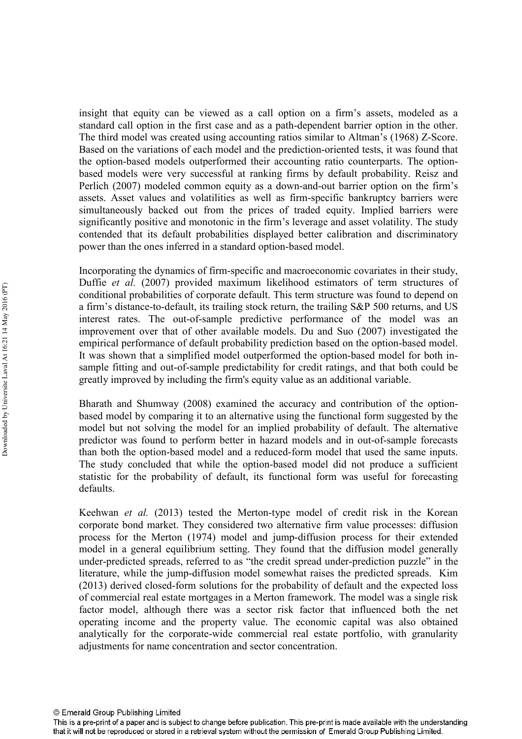insight that equity can be viewed as a call option on a firm's assets, modeled as a standard call option in the first case and as a path-dependent barrier option in the other. The third model was created using accounting ratios similar to Altman's  $(1968)$  Z-Score. Based on the variations of each model and the prediction-oriented tests, it was found that the option-based models outperformed their accounting ratio counterparts. The optionbased models were very successful at ranking firms by default probability. Reisz and Perlich (2007) modeled common equity as a down-and-out barrier option on the firm's assets. Asset values and volatilities as well as firm-specific bankruptcy barriers were simultaneously backed out from the prices of traded equity. Implied barriers were significantly positive and monotonic in the firm's leverage and asset volatility. The study contended that its default probabilities displayed better calibration and discriminatory power than the ones inferred in a standard option-based model.

Incorporating the dynamics of firm-specific and macroeconomic covariates in their study, Duffie et al. (2007) provided maximum likelihood estimators of term structures of conditional probabilities of corporate default. This term structure was found to depend on a firm's distance-to-default, its trailing stock return, the trailing S&P 500 returns, and US interest rates. The out-of-sample predictive performance of the model was an improvement over that of other available models. Du and Suo (2007) investigated the empirical performance of default probability prediction based on the option-based model. It was shown that a simplified model outperformed the option-based model for both insample fitting and out-of-sample predictability for credit ratings, and that both could be greatly improved by including the firm's equity value as an additional variable.

Bharath and Shumway (2008) examined the accuracy and contribution of the option based model by comparing it to an alternative using the functional form suggested by the model but not solving the model for an implied probability of default. The alternative predictor was found to perform better in hazard models and in out-of-sample forecasts than both the option-based model and a reduced-form model that used the same inputs. The study concluded that while the option-based model did not produce a sufficient statistic for the probability of default, its functional form was useful for forecasting defaults.

Keehwan *et al.* (2013) tested the Merton-type model of credit risk in the Korean corporate bond market. They considered two alternative firm value processes: diffusion process for the Merton (1974) model and jump-diffusion process for their extended model in a general equilibrium setting. They found that the diffusion model generally under-predicted spreads, referred to as "the credit spread under-prediction puzzle" in the literature, while the jump-diffusion model somewhat raises the predicted spreads. Kim  $(2013)$  derived closed-form solutions for the probability of default and the expected loss of commercial real estate mortgages in a Merton framework. The model was a single risk factor model, although there was a sector risk factor that influenced both the net operating income and the property value. The economic capital was also obtained analytically for the corporate-wide commercial real estate portfolio, with granularity adjustments for name concentration and sector concentration.

This is a pre-print of a paper and is subject to change before publication. This pre-print is made available with the understanding that it will not be reproduced or stored in a retrieval system without the permission of Emerald Group Publishing Limited.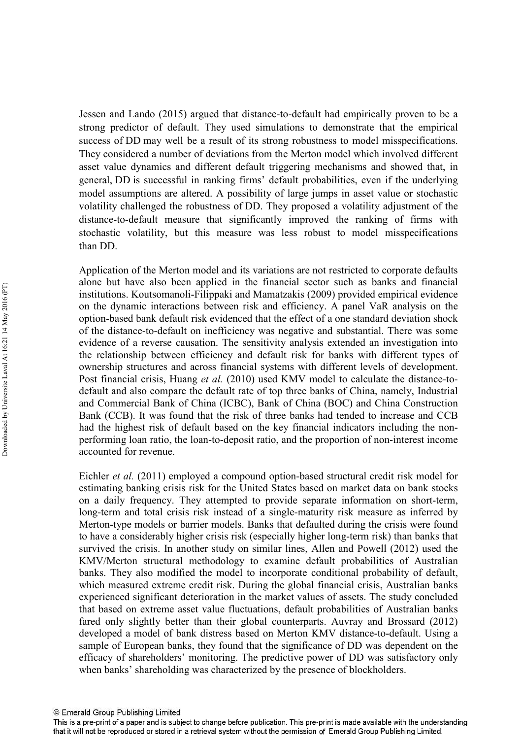Jessen and Lando (2015) argued that distance-to-default had empirically proven to be a strong predictor of default. They used simulations to demonstrate that the empirical success of DD may well be a result of its strong robustness to model misspecifications. They considered a number of deviations from the Merton model which involved different asset value dynamics and different default triggering mechanisms and showed that, in general, DD is successful in ranking firms' default probabilities, even if the underlying model assumptions are altered. A possibility of large jumps in asset value or stochastic volatility challenged the robustness of DD. They proposed a volatility adjustment of the distance-to-default measure that significantly improved the ranking of firms with stochastic volatility, but this measure was less robust to model misspecifications than DD.

Application of the Merton model and its variations are not restricted to corporate defaults alone but have also been applied in the financial sector such as banks and financial institutions. Koutsomanoli-Filippaki and Mamatzakis (2009) provided empirical evidence on the dynamic interactions between risk and efficiency. A panel VaR analysis on the option-based bank default risk evidenced that the effect of a one standard deviation shock of the distance-to-default on inefficiency was negative and substantial. There was some evidence of a reverse causation. The sensitivity analysis extended an investigation into the relationship between efficiency and default risk for banks with different types of ownership structures and across financial systems with different levels of development. Post financial crisis, Huang et al. (2010) used KMV model to calculate the distance-todefault and also compare the default rate of top three banks of China, namely, Industrial and Commercial Bank of China (ICBC), Bank of China (BOC) and China Construction Bank (CCB). It was found that the risk of three banks had tended to increase and CCB had the highest risk of default based on the key financial indicators including the non performing loan ratio, the loan-to-deposit ratio, and the proportion of non-interest income accounted for revenue.

Eichler et al. (2011) employed a compound option-based structural credit risk model for estimating banking crisis risk for the United States based on market data on bank stocks on a daily frequency. They attempted to provide separate information on short-term, long-term and total crisis risk instead of a single-maturity risk measure as inferred by Merton-type models or barrier models. Banks that defaulted during the crisis were found to have a considerably higher crisis risk (especially higher long-term risk) than banks that survived the crisis. In another study on similar lines, Allen and Powell (2012) used the KMV/Merton structural methodology to examine default probabilities of Australian banks. They also modified the model to incorporate conditional probability of default, which measured extreme credit risk. During the global financial crisis, Australian banks experienced significant deterioration in the market values of assets. The study concluded that based on extreme asset value fluctuations, default probabilities of Australian banks fared only slightly better than their global counterparts. Auvray and Brossard (2012) developed a model of bank distress based on Merton KMV distance-to-default. Using a sample of European banks, they found that the significance of DD was dependent on the efficacy of shareholders' monitoring. The predictive power of DD was satisfactory only when banks' shareholding was characterized by the presence of blockholders.

This is a pre-print of a paper and is subject to change before publication. This pre-print is made available with the understanding that it will not be reproduced or stored in a retrieval system without the permission of Emerald Group Publishing Limited.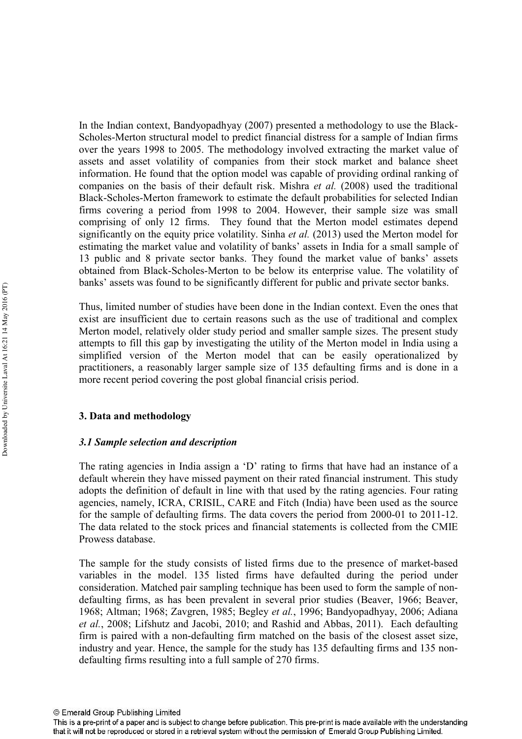In the Indian context, Bandyopadhyay (2007) presented a methodology to use the Black Scholes-Merton structural model to predict financial distress for a sample of Indian firms over the years 1998 to 2005. The methodology involved extracting the market value of assets and asset volatility of companies from their stock market and balance sheet information. He found that the option model was capable of providing ordinal ranking of companies on the basis of their default risk. Mishra et al. (2008) used the traditional Black-Scholes-Merton framework to estimate the default probabilities for selected Indian firms covering a period from 1998 to 2004. However, their sample size was small comprising of only 12 firms. They found that the Merton model estimates depend significantly on the equity price volatility. Sinha et al. (2013) used the Merton model for estimating the market value and volatility of banks' assets in India for a small sample of 13 public and 8 private sector banks. They found the market value of banks' assets obtained from Black-Scholes-Merton to be below its enterprise value. The volatility of banks' assets was found to be significantly different for public and private sector banks.

Thus, limited number of studies have been done in the Indian context. Even the ones that exist are insufficient due to certain reasons such as the use of traditional and complex Merton model, relatively older study period and smaller sample sizes. The present study attempts to fill this gap by investigating the utility of the Merton model in India using a simplified version of the Merton model that can be easily operationalized by practitioners, a reasonably larger sample size of 135 defaulting firms and is done in a more recent period covering the post global financial crisis period.

# 3. Data and methodology

# 3.1 Sample selection and description

The rating agencies in India assign a 'D' rating to firms that have had an instance of a default wherein they have missed payment on their rated financial instrument. This study adopts the definition of default in line with that used by the rating agencies. Four rating agencies, namely, ICRA, CRISIL, CARE and Fitch (India) have been used as the source for the sample of defaulting firms. The data covers the period from  $2000-01$  to  $2011-12$ . The data related to the stock prices and financial statements is collected from the CMIE Prowess database.

The sample for the study consists of listed firms due to the presence of market-based variables in the model. 135 listed firms have defaulted during the period under consideration. Matched pair sampling technique has been used to form the sample of non defaulting firms, as has been prevalent in several prior studies (Beaver, 1966; Beaver, 1968; Altman; 1968; Zavgren, 1985; Begley et al., 1996; Bandyopadhyay, 2006; Adiana et al., 2008; Lifshutz and Jacobi, 2010; and Rashid and Abbas, 2011). Each defaulting firm is paired with a non-defaulting firm matched on the basis of the closest asset size, industry and year. Hence, the sample for the study has 135 defaulting firms and 135 non defaulting firms resulting into a full sample of 270 firms.

This is a pre-print of a paper and is subject to change before publication. This pre-print is made available with the understanding that it will not be reproduced or stored in a retrieval system without the permission of Emerald Group Publishing Limited.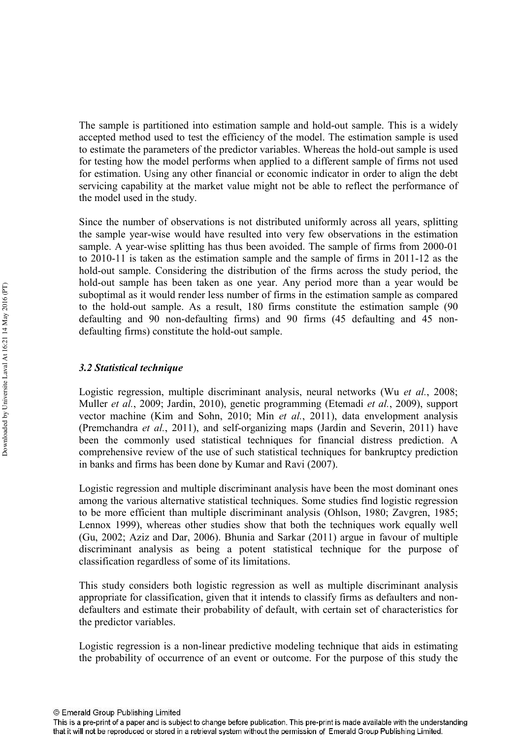The sample is partitioned into estimation sample and hold-out sample. This is a widely accepted method used to test the efficiency of the model. The estimation sample is used to estimate the parameters of the predictor variables. Whereas the hold-out sample is used for testing how the model performs when applied to a different sample of firms not used for estimation. Using any other financial or economic indicator in order to align the debt servicing capability at the market value might not be able to reflect the performance of the model used in the study.

Since the number of observations is not distributed uniformly across all years, splitting the sample year-wise would have resulted into very few observations in the estimation sample. A year-wise splitting has thus been avoided. The sample of firms from 2000-01 to  $2010-11$  is taken as the estimation sample and the sample of firms in  $2011-12$  as the hold-out sample. Considering the distribution of the firms across the study period, the hold-out sample has been taken as one year. Any period more than a year would be suboptimal as it would render less number of firms in the estimation sample as compared to the hold-out sample. As a result,  $180$  firms constitute the estimation sample (90) defaulting and 90 non-defaulting firms) and 90 firms (45 defaulting and 45 nondefaulting firms) constitute the hold-out sample.

# 3.2 Statistical technique

Logistic regression, multiple discriminant analysis, neural networks (Wu et al., 2008; Muller et al., 2009; Jardin, 2010), genetic programming (Etemadi et al., 2009), support vector machine (Kim and Sohn, 2010; Min et al., 2011), data envelopment analysis (Premchandra et al., 2011), and self-organizing maps (Jardin and Severin, 2011) have been the commonly used statistical techniques for financial distress prediction. A comprehensive review of the use of such statistical techniques for bankruptcy prediction in banks and firms has been done by Kumar and Ravi (2007).

Logistic regression and multiple discriminant analysis have been the most dominant ones among the various alternative statistical techniques. Some studies find logistic regression to be more efficient than multiple discriminant analysis (Ohlson, 1980; Zavgren, 1985; Lennox 1999), whereas other studies show that both the techniques work equally well (Gu, 2002; Aziz and Dar, 2006). Bhunia and Sarkar (2011) argue in favour of multiple discriminant analysis as being a potent statistical technique for the purpose of classification regardless of some of its limitations.

This study considers both logistic regression as well as multiple discriminant analysis appropriate for classification, given that it intends to classify firms as defaulters and non defaulters and estimate their probability of default, with certain set of characteristics for the predictor variables.

Logistic regression is a non-linear predictive modeling technique that aids in estimating the probability of occurrence of an event or outcome. For the purpose of this study the

This is a pre-print of a paper and is subject to change before publication. This pre-print is made available with the understanding that it will not be reproduced or stored in a retrieval system without the permission of Emerald Group Publishing Limited.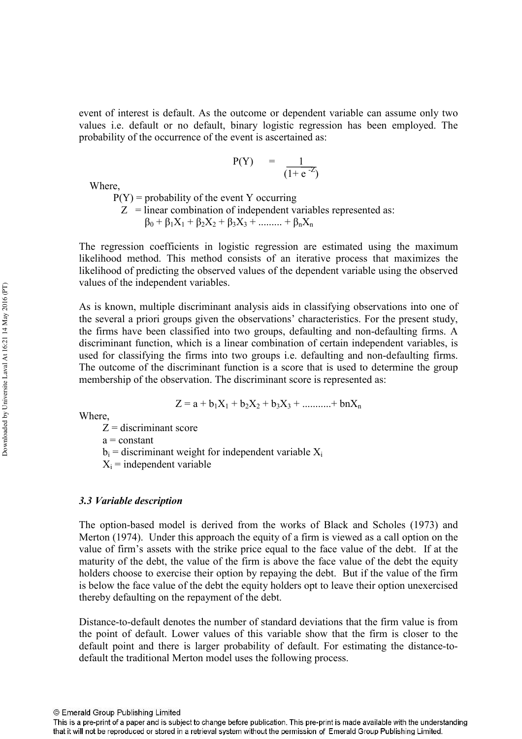event of interest is default. As the outcome or dependent variable can assume only two values i.e. default or no default, binary logistic regression has been employed. The probability of the occurrence of the event is ascertained as:

$$
P(Y) = \frac{1}{(1 + e^{-Z})}
$$

Where,

 $P(Y)$  = probability of the event Y occurring  $Z$  = linear combination of independent variables represented as:  $\beta_0 + \beta_1 X_1 + \beta_2 X_2 + \beta_3 X_3 + \dots + \beta_n X_n$ 

The regression coefficients in logistic regression are estimated using the maximum likelihood method. This method consists of an iterative process that maximizes the likelihood of predicting the observed values of the dependent variable using the observed values of the independent variables.

As is known, multiple discriminant analysis aids in classifying observations into one of the several a priori groups given the observations' characteristics. For the present study, the firms have been classified into two groups, defaulting and non-defaulting firms. A discriminant function, which is a linear combination of certain independent variables, is used for classifying the firms into two groups *i.e.* defaulting and non-defaulting firms. The outcome of the discriminant function is a score that is used to determine the group membership of the observation. The discriminant score is represented as:

Where,

$$
Z=a+b_1X_1+b_2X_2+b_3X_3+............+bnX_n\\
$$

 $Z =$  discriminant score

 $a = constant$ 

 $b_i$  = discriminant weight for independent variable  $X_i$ 

 $X_i$  = independent variable

#### 3.3 Variable description

The option-based model is derived from the works of Black and Scholes (1973) and Merton (1974). Under this approach the equity of a firm is viewed as a call option on the value of firm's assets with the strike price equal to the face value of the debt. If at the maturity of the debt, the value of the firm is above the face value of the debt the equity holders choose to exercise their option by repaying the debt. But if the value of the firm is below the face value of the debt the equity holders opt to leave their option unexercised thereby defaulting on the repayment of the debt.

Distance-to-default denotes the number of standard deviations that the firm value is from the point of default. Lower values of this variable show that the firm is closer to the default point and there is larger probability of default. For estimating the distance-todefault the traditional Merton model uses the following process.

This is a pre-print of a paper and is subject to change before publication. This pre-print is made available with the understanding that it will not be reproduced or stored in a retrieval system without the permission of Emerald Group Publishing Limited.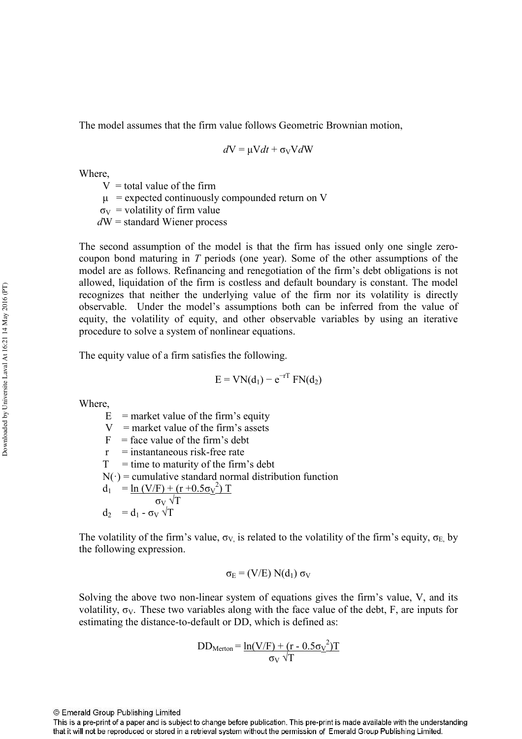The model assumes that the firm value follows Geometric Brownian motion,

$$
dV = \mu V dt + \sigma_V V dW
$$

Where,

 $V =$  total value of the firm

 $\mu$  = expected continuously compounded return on V

 $\sigma_V$  = volatility of firm value

 $dW =$ standard Wiener process

The second assumption of the model is that the firm has issued only one single zero coupon bond maturing in  *periods (one year). Some of the other assumptions of the* model are as follows. Refinancing and renegotiation of the firm's debt obligations is not allowed, liquidation of the firm is costless and default boundary is constant. The model recognizes that neither the underlying value of the firm nor its volatility is directly observable. Under the model's assumptions both can be inferred from the value of equity, the volatility of equity, and other observable variables by using an iterative procedure to solve a system of nonlinear equations.

The equity value of a firm satisfies the following.

 $E = VN(d_1) - e^{-rT} FN(d_2)$ 

Where,

 $E =$  market value of the firm's equity

 $V =$  market value of the firm's assets

 $F =$  face value of the firm's debt

 $r =$  instantaneous risk-free rate

 $T =$  time to maturity of the firm's debt

 $N(\cdot)$  = cumulative standard normal distribution function

 $d_1 = \ln (V/F) + (r + 0.5\sigma_V^2) T$ σ $_V$   $\sqrt{T}$ 

$$
d_2 = d_1 - \sigma_V \sqrt{T}
$$

The volatility of the firm's value,  $\sigma_V$  is related to the volatility of the firm's equity,  $\sigma_E$  by the following expression.

$$
\sigma_E = (V/E) N(d_1) \sigma_V
$$

Solving the above two non-linear system of equations gives the firm's value, V, and its volatility,  $\sigma_V$ . These two variables along with the face value of the debt, F, are inputs for estimating the distance-to-default or DD, which is defined as:

$$
DD_{Merton} = \frac{\ln(V/F) + (r - 0.5\sigma_V^2)T}{\sigma_V \sqrt{T}}
$$

This is a pre-print of a paper and is subject to change before publication. This pre-print is made available with the understanding that it will not be reproduced or stored in a retrieval system without the permission of Emerald Group Publishing Limited.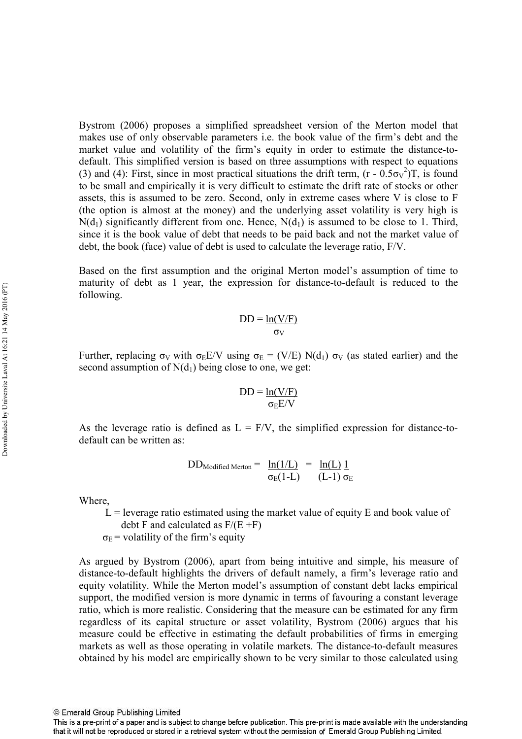Bystrom (2006) proposes a simplified spreadsheet version of the Merton model that makes use of only observable parameters i.e. the book value of the firm's debt and the market value and volatility of the firm's equity in order to estimate the distance-todefault. This simplified version is based on three assumptions with respect to equations (3) and (4): First, since in most practical situations the drift term,  $(r - 0.5\sigma v^2)T$ , is found to be small and empirically it is very difficult to estimate the drift rate of stocks or other assets, this is assumed to be zero. Second, only in extreme cases where V is close to F (the option is almost at the money) and the underlying asset volatility is very high is  $N(d_1)$  significantly different from one. Hence,  $N(d_1)$  is assumed to be close to 1. Third, since it is the book value of debt that needs to be paid back and not the market value of debt, the book (face) value of debt is used to calculate the leverage ratio, F/V.

Based on the first assumption and the original Merton model's assumption of time to maturity of debt as 1 year, the expression for distance-to-default is reduced to the following.

$$
DD = \frac{\ln(V/F)}{\sigma_V}
$$

Further, replacing  $\sigma_V$  with  $\sigma_E E/V$  using  $\sigma_E = (V/E) N(d_1) \sigma_V$  (as stated earlier) and the second assumption of  $N(d_1)$  being close to one, we get:

$$
DD = \frac{\ln(V/F)}{\sigma_E E/V}
$$

As the leverage ratio is defined as  $L = F/V$ , the simplified expression for distance-todefault can be written as:

> $DD_{Modified\ Merton} = \ln(1/L) = \ln(L) 1$  $\sigma_{\rm E}(1\text{-L})$  (L-1)  $\sigma_{\rm E}$

Where,

 $L =$  leverage ratio estimated using the market value of equity E and book value of debt F and calculated as  $F/(E + F)$ 

 $\sigma_{\rm E}$  = volatility of the firm's equity

As argued by Bystrom (2006), apart from being intuitive and simple, his measure of distance-to-default highlights the drivers of default namely, a firm's leverage ratio and equity volatility. While the Merton model's assumption of constant debt lacks empirical support, the modified version is more dynamic in terms of favouring a constant leverage ratio, which is more realistic. Considering that the measure can be estimated for any firm regardless of its capital structure or asset volatility, Bystrom (2006) argues that his measure could be effective in estimating the default probabilities of firms in emerging markets as well as those operating in volatile markets. The distance-to-default measures obtained by his model are empirically shown to be very similar to those calculated using

This is a pre-print of a paper and is subject to change before publication. This pre-print is made available with the understanding that it will not be reproduced or stored in a retrieval system without the permission of Emerald Group Publishing Limited.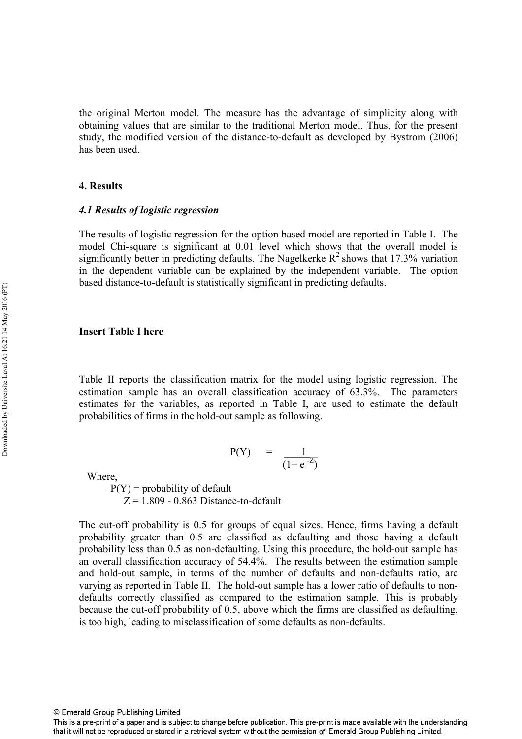the original Merton model. The measure has the advantage of simplicity along with obtaining values that are similar to the traditional Merton model. Thus, for the present study, the modified version of the distance-to-default as developed by Bystrom (2006) has been used.

#### **4. Results**

#### 4.1 Results of logistic regression

The results of logistic regression for the option based model are reported in Table I. The model Chi-square is significant at 0.01 level which shows that the overall model is significantly better in predicting defaults. The Nagelkerke  $R^2$  shows that 17.3% variation in the dependent variable can be explained by the independent variable. The option based distance-to-default is statistically significant in predicting defaults.

#### Insert Table I here

Table II reports the classification matrix for the model using logistic regression. The estimation sample has an overall classification accuracy of 63.3%. The parameters estimates for the variables, as reported in Table I, are used to estimate the default probabilities of firms in the hold-out sample as following.

$$
P(Y) = \frac{1}{(1 + e^{-Z})}
$$

Where,

 $P(Y)$  = probability of default  $Z = 1.809 - 0.863$  Distance-to-default

The cut-off probability is 0.5 for groups of equal sizes. Hence, firms having a default probability greater than 0.5 are classified as defaulting and those having a default probability less than 0.5 as non-defaulting. Using this procedure, the hold-out sample has an overall classification accuracy of 54.4%. The results between the estimation sample and hold-out sample, in terms of the number of defaults and non-defaults ratio, are varying as reported in Table II. The hold-out sample has a lower ratio of defaults to nondefaults correctly classified as compared to the estimation sample. This is probably because the cut-off probability of 0.5, above which the firms are classified as defaulting, is too high, leading to misclassification of some defaults as non-defaults.

This is a pre-print of a paper and is subject to change before publication. This pre-print is made available with the understanding that it will not be reproduced or stored in a retrieval system without the permission of Emerald Group Publishing Limited.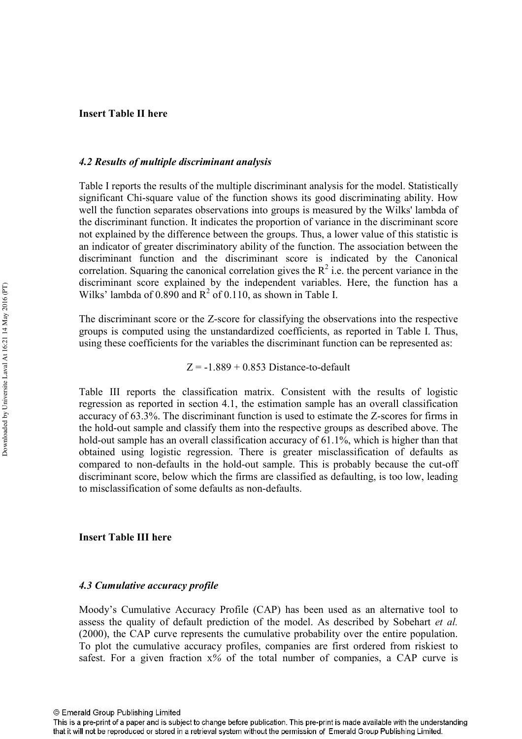## **Insert Table II here**

#### 4.2 Results of multiple discriminant analysis

Table I reports the results of the multiple discriminant analysis for the model. Statistically significant Chisquare value of the function shows its good discriminating ability. How well the function separates observations into groups is measured by the Wilks' lambda of the discriminant function. It indicates the proportion of variance in the discriminant score not explained by the difference between the groups. Thus, a lower value of this statistic is an indicator of greater discriminatory ability of the function. The association between the discriminant function and the discriminant score is indicated by the Canonical correlation. Squaring the canonical correlation gives the  $R^2$  i.e. the percent variance in the discriminant score explained by the independent variables. Here, the function has a Wilks' lambda of  $0.890$  and  $R^2$  of  $0.110$ , as shown in Table I.

The discriminant score or the Z-score for classifying the observations into the respective groups is computed using the unstandardized coefficients, as reported in Table I. Thus, using these coefficients for the variables the discriminant function can be represented as:

 $Z = -1.889 + 0.853$  Distance-to-default

Table III reports the classification matrix. Consistent with the results of logistic regression as reported in section 4.1, the estimation sample has an overall classification accuracy of 63.3%. The discriminant function is used to estimate the Z-scores for firms in the hold-out sample and classify them into the respective groups as described above. The hold-out sample has an overall classification accuracy of  $61.1\%$ , which is higher than that obtained using logistic regression. There is greater misclassification of defaults as compared to non-defaults in the hold-out sample. This is probably because the cut-off discriminant score, below which the firms are classified as defaulting, is too low, leading to misclassification of some defaults as non-defaults.

#### **Insert Table III here**

#### 4.3 Cumulative accuracy profile

Moody's Cumulative Accuracy Profile (CAP) has been used as an alternative tool to assess the quality of default prediction of the model. As described by Sobehart *et al.* (2000), the CAP curve represents the cumulative probability over the entire population. To plot the cumulative accuracy profiles, companies are first ordered from riskiest to safest. For a given fraction  $x\%$  of the total number of companies, a CAP curve is

This is a pre-print of a paper and is subject to change before publication. This pre-print is made available with the understanding that it will not be reproduced or stored in a retrieval system without the permission of Emerald Group Publishing Limited.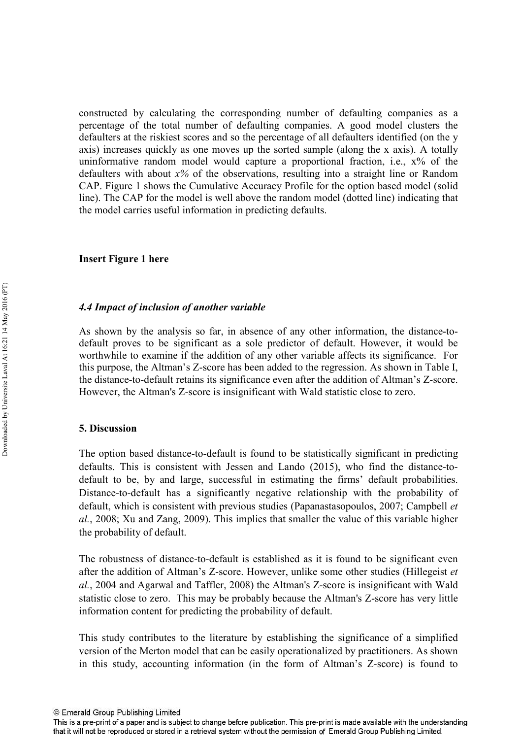constructed by calculating the corresponding number of defaulting companies as a percentage of the total number of defaulting companies. A good model clusters the defaulters at the riskiest scores and so the percentage of all defaulters identified (on the y axis) increases quickly as one moves up the sorted sample (along the x axis). A totally uninformative random model would capture a proportional fraction, i.e., x% of the defaulters with about  $x\%$  of the observations, resulting into a straight line or Random CAP. Figure 1 shows the Cumulative Accuracy Profile for the option based model (solid line). The CAP for the model is well above the random model (dotted line) indicating that the model carries useful information in predicting defaults.

#### **Insert Figure 1 here**

#### 4.4 Impact of inclusion of another variable

As shown by the analysis so far, in absence of any other information, the distance-todefault proves to be significant as a sole predictor of default. However, it would be worthwhile to examine if the addition of any other variable affects its significance. For this purpose, the Altman's Z-score has been added to the regression. As shown in Table I, the distance-to-default retains its significance even after the addition of Altman's Z-score. However, the Altman's Z-score is insignificant with Wald statistic close to zero.

#### **5.** Discussion

The option based distance-to-default is found to be statistically significant in predicting defaults. This is consistent with Jessen and Lando  $(2015)$ , who find the distance-todefault to be, by and large, successful in estimating the firms' default probabilities. Distance-to-default has a significantly negative relationship with the probability of default, which is consistent with previous studies (Papanastasopoulos, 2007; Campbell *-*, 2008; Xu and Zang, 2009). This implies that smaller the value of this variable higher the probability of default.

The robustness of distance-to-default is established as it is found to be significant even after the addition of Altman's Z-score. However, unlike some other studies (Hillegeist *et*  $al.$ , 2004 and Agarwal and Taffler, 2008) the Altman's Z-score is insignificant with Wald statistic close to zero. This may be probably because the Altman's Z-score has very little information content for predicting the probability of default.

This study contributes to the literature by establishing the significance of a simplified version of the Merton model that can be easily operationalized by practitioners. As shown in this study, accounting information (in the form of Altman's Z-score) is found to

This is a pre-print of a paper and is subject to change before publication. This pre-print is made available with the understanding that it will not be reproduced or stored in a retrieval system without the permission of Emerald Group Publishing Limited.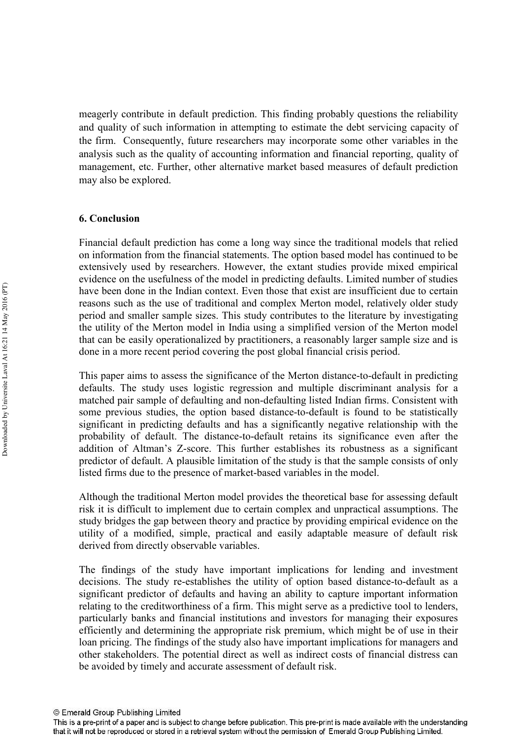meagerly contribute in default prediction. This finding probably questions the reliability and quality of such information in attempting to estimate the debt servicing capacity of the firm. Consequently, future researchers may incorporate some other variables in the analysis such as the quality of accounting information and financial reporting, quality of management, etc. Further, other alternative market based measures of default prediction may also be explored.

# **% &**

Financial default prediction has come a long way since the traditional models that relied on information from the financial statements. The option based model has continued to be extensively used by researchers. However, the extant studies provide mixed empirical evidence on the usefulness of the model in predicting defaults. Limited number of studies have been done in the Indian context. Even those that exist are insufficient due to certain reasons such as the use of traditional and complex Merton model, relatively older study period and smaller sample sizes. This study contributes to the literature by investigating the utility of the Merton model in India using a simplified version of the Merton model that can be easily operationalized by practitioners, a reasonably larger sample size and is done in a more recent period covering the post global financial crisis period.

This paper aims to assess the significance of the Merton distance-to-default in predicting defaults. The study uses logistic regression and multiple discriminant analysis for a matched pair sample of defaulting and non-defaulting listed Indian firms. Consistent with some previous studies, the option based distance-to-default is found to be statistically significant in predicting defaults and has a significantly negative relationship with the probability of default. The distance-to-default retains its significance even after the addition of Altman's Z-score. This further establishes its robustness as a significant predictor of default. A plausible limitation of the study is that the sample consists of only listed firms due to the presence of market-based variables in the model.

Although the traditional Merton model provides the theoretical base for assessing default risk it is difficult to implement due to certain complex and unpractical assumptions. The study bridges the gap between theory and practice by providing empirical evidence on the utility of a modified, simple, practical and easily adaptable measure of default risk derived from directly observable variables.

The findings of the study have important implications for lending and investment decisions. The study re-establishes the utility of option based distance-to-default as a significant predictor of defaults and having an ability to capture important information relating to the creditworthiness of a firm. This might serve as a predictive tool to lenders, particularly banks and financial institutions and investors for managing their exposures efficiently and determining the appropriate risk premium, which might be of use in their loan pricing. The findings of the study also have important implications for managers and other stakeholders. The potential direct as well as indirect costs of financial distress can be avoided by timely and accurate assessment of default risk.

This is a pre-print of a paper and is subject to change before publication. This pre-print is made available with the understanding that it will not be reproduced or stored in a retrieval system without the permission of Emerald Group Publishing Limited.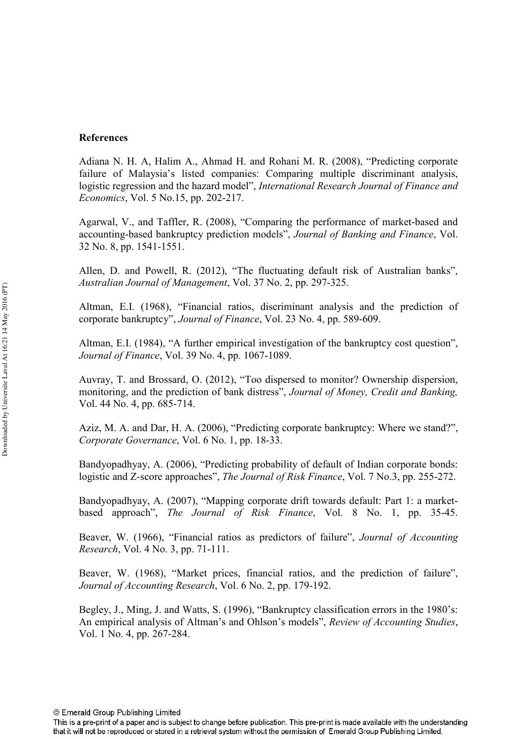# **References**

Adiana N. H. A, Halim A., Ahmad H. and Rohani M. R. (2008), "Predicting corporate failure of Malaysia's listed companies: Comparing multiple discriminant analysis, logistic regression and the hazard model", International Research Journal of Finance and *Economics*, Vol. 5 No.15, pp. 202-217.

Agarwal, V., and Taffler, R. (2008), "Comparing the performance of market-based and accounting-based bankruptcy prediction models", *Journal of Banking and Finance*, Vol. 32 No. 8, pp. 1541-1551.

Allen, D. and Powell, R. (2012), "The fluctuating default risk of Australian banks", Australian Journal of Management, Vol. 37 No. 2, pp. 297-325.

Altman, E.I. (1968), "Financial ratios, discriminant analysis and the prediction of corporate bankruptcy", *Journal of Finance*, Vol. 23 No. 4, pp. 589-609.

Altman, E.I. (1984), "A further empirical investigation of the bankruptcy cost question", *Journal of Finance*, Vol. 39 No. 4, pp. 1067-1089.

Auvray, T. and Brossard, O. (2012), "Too dispersed to monitor? Ownership dispersion, monitoring, and the prediction of bank distress", Journal of Money, Credit and Banking, Vol. 44 No. 4, pp. 685-714.

Aziz, M. A. and Dar, H. A. (2006), "Predicting corporate bankruptcy: Where we stand?", Corporate Governance, Vol. 6 No. 1, pp. 18-33.

Bandyopadhyay, A. (2006), "Predicting probability of default of Indian corporate bonds: logistic and Z-score approaches", *The Journal of Risk Finance*, Vol. 7 No.3, pp. 255-272.

Bandyopadhyay, A. (2007), "Mapping corporate drift towards default: Part 1: a market based approach", *The Journal of Risk Finance*, Vol. 8 No. 1, pp. 35-45.

Beaver, W. (1966), "Financial ratios as predictors of failure", Journal of Accounting *Research*, Vol. 4 No. 3, pp. 71-111.

Beaver, W. (1968), "Market prices, financial ratios, and the prediction of failure", Journal of Accounting Research, Vol. 6 No. 2, pp. 179-192.

Begley, J., Ming, J. and Watts, S. (1996), "Bankruptcy classification errors in the 1980's: An empirical analysis of Altman's and Ohlson's models", Review of Accounting Studies, Vol. 1 No. 4, pp. 267-284.

This is a pre-print of a paper and is subject to change before publication. This pre-print is made available with the understanding that it will not be reproduced or stored in a retrieval system without the permission of Emerald Group Publishing Limited.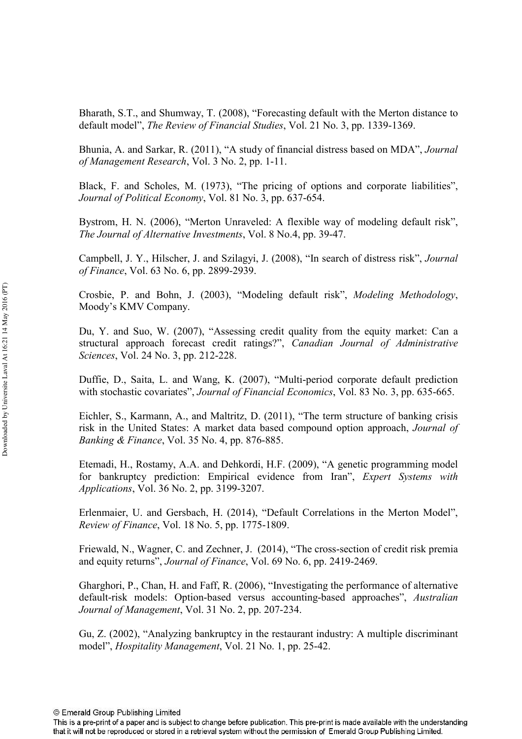Bharath, S.T., and Shumway, T. (2008), "Forecasting default with the Merton distance to default model", *The Review of Financial Studies*, Vol. 21 No. 3, pp. 1339-1369.

Bhunia, A. and Sarkar, R. (2011), "A study of financial distress based on MDA",  of Management Research, Vol. 3 No. 2, pp. 1-11.

Black, F. and Scholes, M. (1973), "The pricing of options and corporate liabilities", Journal of Political Economy, Vol. 81 No. 3, pp. 637-654.

Bystrom, H. N. (2006), "Merton Unraveled: A flexible way of modeling default risk", The Journal of Alternative Investments, Vol. 8 No.4, pp. 39-47.

Campbell, J. Y., Hilscher, J. and Szilagyi, J. (2008), "In search of distress risk",  *of Finance*, Vol. 63 No. 6, pp. 2899-2939.

Crosbie, P. and Bohn, J. (2003), "Modeling default risk", Modeling Methodology, Moody's KMV Company.

Du, Y. and Suo, W. (2007), "Assessing credit quality from the equity market: Can a structural approach forecast credit ratings?", Canadian Journal of Administrative *Sciences*, *Vol.* 24 No. 3, pp. 212-228.

Duffie, D., Saita, L. and Wang, K. (2007), "Multi-period corporate default prediction with stochastic covariates", *Journal of Financial Economics*, Vol. 83 No. 3, pp. 635-665.

Eichler, S., Karmann, A., and Maltritz, D. (2011), "The term structure of banking crisis risk in the United States: A market data based compound option approach,  *Banking & Finance*, Vol. 35 No. 4, pp. 876-885.

Etemadi, H., Rostamy, A.A. and Dehkordi, H.F. (2009), "A genetic programming model for bankruptcy prediction: Empirical evidence from Iran", Expert Systems with *Applications, Vol. 36 No. 2, pp. 3199-3207.* 

Erlenmaier, U. and Gersbach, H. (2014), "Default Correlations in the Merton Model", *Review of Finance, Vol. 18 No. 5, pp. 1775-1809.* 

Friewald, N., Wagner, C. and Zechner, J. (2014), "The cross-section of credit risk premia and equity returns", *Journal of Finance*, Vol. 69 No. 6, pp. 2419-2469.

Gharghori, P., Chan, H. and Faff, R. (2006), "Investigating the performance of alternative default-risk models: Option-based versus accounting-based approaches", Australian Journal of Management, Vol. 31 No. 2, pp. 207-234.

Gu, Z. (2002), "Analyzing bankruptcy in the restaurant industry: A multiple discriminant model", *Hospitality Management*, Vol. 21 No. 1, pp. 25-42.

This is a pre-print of a paper and is subject to change before publication. This pre-print is made available with the understanding that it will not be reproduced or stored in a retrieval system without the permission of Emerald Group Publishing Limited.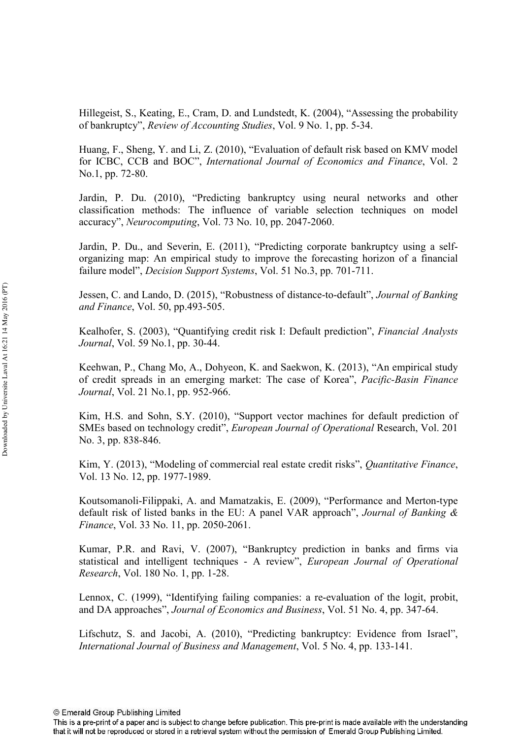Hillegeist, S., Keating, E., Cram, D. and Lundstedt, K. (2004), "Assessing the probability of bankruptcy", *Review of Accounting Studies*, Vol. 9 No. 1, pp. 5-34.

Huang, F., Sheng, Y. and Li, Z. (2010), "Evaluation of default risk based on KMV model for ICBC, CCB and BOC", International Journal of Economics and Finance, Vol. 2 No.1, pp. 72-80.

Jardin, P. Du. (2010), "Predicting bankruptcy using neural networks and other classification methods: The influence of variable selection techniques on model accuracy", *Neurocomputing*, Vol. 73 No. 10, pp. 2047-2060.

Jardin, P. Du., and Severin, E. (2011), "Predicting corporate bankruptcy using a self organizing map: An empirical study to improve the forecasting horizon of a financial failure model", *Decision Support Systems*, Vol. 51 No.3, pp. 701-711.

Jessen, C. and Lando, D. (2015), "Robustness of distance-to-default", *Journal of Banking* and Finance, Vol. 50, pp.493-505.

Kealhofer, S. (2003), "Quantifying credit risk I: Default prediction", Financial Analysts *Journal*, Vol. 59 No.1, pp. 30-44.

Keehwan, P., Chang Mo, A., Dohyeon, K. and Saekwon, K. (2013), "An empirical study of credit spreads in an emerging market: The case of Korea", *Pacific-Basin Finance Journal*, Vol. 21 No.1, pp. 952-966.

Kim, H.S. and Sohn, S.Y. (2010), "Support vector machines for default prediction of SMEs based on technology credit", *European Journal of Operational* Research, Vol. 201 No. 3, pp. 838-846.

Kim, Y. (2013), "Modeling of commercial real estate credit risks", *Quantitative Finance*, Vol. 13 No. 12, pp. 1977-1989.

Koutsomanoli-Filippaki, A. and Mamatzakis, E. (2009), "Performance and Merton-type default risk of listed banks in the EU: A panel VAR approach", *Journal of Banking & Finance*, Vol. 33 No. 11, pp. 2050-2061.

Kumar, P.R. and Ravi, V. (2007), "Bankruptcy prediction in banks and firms via statistical and intelligent techniques - A review", *European Journal of Operational Research*, Vol. 180 No. 1, pp. 1-28.

Lennox, C. (1999), "Identifying failing companies: a re-evaluation of the logit, probit, and DA approaches", *Journal of Economics and Business*, Vol. 51 No. 4, pp. 347-64.

Lifschutz, S. and Jacobi, A. (2010), "Predicting bankruptcy: Evidence from Israel", International Journal of Business and Management, Vol. 5 No. 4, pp. 133-141.

This is a pre-print of a paper and is subject to change before publication. This pre-print is made available with the understanding that it will not be reproduced or stored in a retrieval system without the permission of Emerald Group Publishing Limited.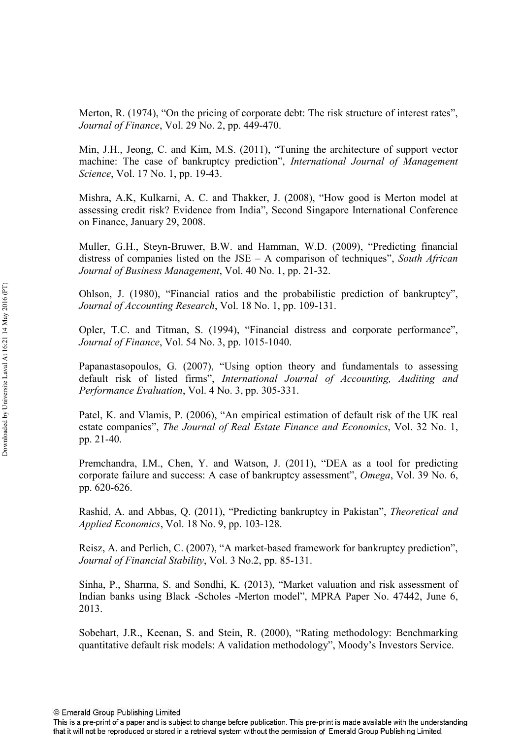Merton, R. (1974), "On the pricing of corporate debt: The risk structure of interest rates", *Journal of Finance*, Vol. 29 No. 2, pp. 449-470.

Min, J.H., Jeong, C. and Kim, M.S. (2011), "Tuning the architecture of support vector machine: The case of bankruptcy prediction", International Journal of Management *Science*, *Vol.* 17 No. 1, pp. 19-43.

Mishra, A.K, Kulkarni, A. C. and Thakker, J. (2008), "How good is Merton model at assessing credit risk? Evidence from India", Second Singapore International Conference on Finance, January 29, 2008.

Muller, G.H., Steyn-Bruwer, B.W. and Hamman, W.D. (2009), "Predicting financial distress of companies listed on the JSE – A comparison of techniques", South African Journal of Business Management, Vol. 40 No. 1, pp. 21-32.

Ohlson, J. (1980), "Financial ratios and the probabilistic prediction of bankruptcy", Journal of Accounting Research, Vol. 18 No. 1, pp. 109-131.

Opler, T.C. and Titman, S. (1994), "Financial distress and corporate performance", *Journal of Finance*, Vol. 54 No. 3, pp. 1015-1040.

Papanastasopoulos, G. (2007), "Using option theory and fundamentals to assessing default risk of listed firms", International Journal of Accounting, Auditing and Performance Evaluation, Vol. 4 No. 3, pp. 305-331.

Patel, K. and Vlamis, P. (2006), "An empirical estimation of default risk of the UK real estate companies", The Journal of Real Estate Finance and Economics, Vol. 32 No. 1, pp. 21-40.

Premchandra, I.M., Chen, Y. and Watson, J. (2011), "DEA as a tool for predicting corporate failure and success: A case of bankruptcy assessment", *Omega*, Vol. 39 No. 6, pp. 620-626.

Rashid, A. and Abbas, Q. (2011), "Predicting bankruptcy in Pakistan", Theoretical and *Applied Economics*, Vol. 18 No. 9, pp. 103-128.

Reisz, A. and Perlich, C. (2007), "A market-based framework for bankruptcy prediction", *Journal of Financial Stability*, Vol. 3 No.2, pp. 85-131.

Sinha, P., Sharma, S. and Sondhi, K. (2013), "Market valuation and risk assessment of Indian banks using Black -Scholes -Merton model", MPRA Paper No. 47442, June 6, 2013.

Sobehart, J.R., Keenan, S. and Stein, R. (2000), "Rating methodology: Benchmarking quantitative default risk models: A validation methodology", Moody's Investors Service.

This is a pre-print of a paper and is subject to change before publication. This pre-print is made available with the understanding that it will not be reproduced or stored in a retrieval system without the permission of Emerald Group Publishing Limited.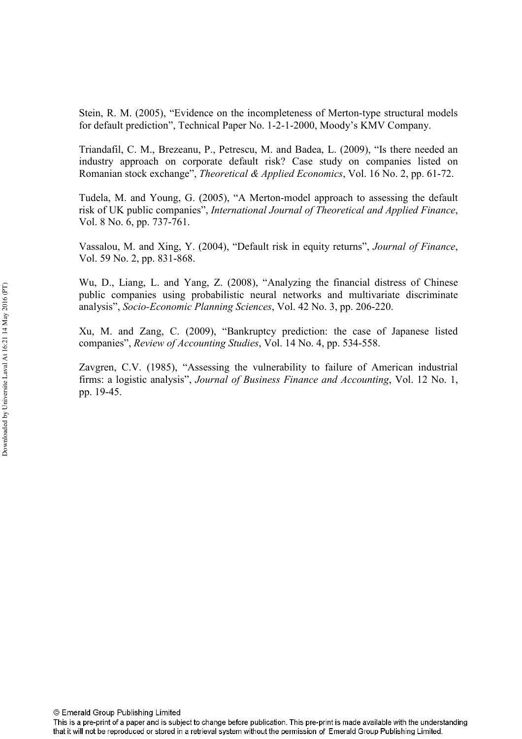Stein, R. M. (2005), "Evidence on the incompleteness of Merton-type structural models for default prediction", Technical Paper No. 1-2-1-2000, Moody's KMV Company.

Triandafil, C. M., Brezeanu, P., Petrescu, M. and Badea, L. (2009), "Is there needed an industry approach on corporate default risk? Case study on companies listed on Romanian stock exchange", *Theoretical & Applied Economics*, Vol. 16 No. 2, pp. 61-72.

Tudela, M. and Young, G. (2005), "A Merton-model approach to assessing the default risk of UK public companies", International Journal of Theoretical and Applied Finance, Vol. 8 No. 6, pp.  $737-761$ .

Vassalou, M. and Xing, Y. (2004), "Default risk in equity returns", *Journal of Finance*, Vol. 59 No. 2, pp. 831-868.

Wu, D., Liang, L. and Yang, Z. (2008), "Analyzing the financial distress of Chinese public companies using probabilistic neural networks and multivariate discriminate analysis", *Socio-Economic Planning Sciences*, Vol. 42 No. 3, pp. 206-220.

Xu, M. and Zang, C. (2009), "Bankruptcy prediction: the case of Japanese listed companies", *Review of Accounting Studies*, Vol. 14 No. 4, pp. 534-558.

Zavgren, C.V. (1985), "Assessing the vulnerability to failure of American industrial firms: a logistic analysis", *Journal of Business Finance and Accounting*, Vol. 12 No. 1, pp. 19-45.

This is a pre-print of a paper and is subject to change before publication. This pre-print is made available with the understanding that it will not be reproduced or stored in a retrieval system without the permission of Emerald Group Publishing Limited.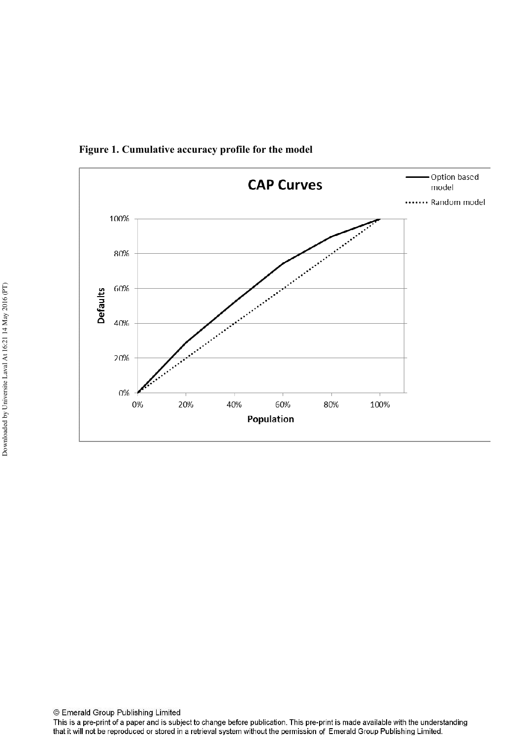

Figure 1. Cumulative accuracy profile for the model

This is a pre-print of a paper and is subject to change before publication. This pre-print is made available with the understanding that it will not be reproduced or stored in a retrieval system without the permission of Emerald Group Publishing Limited.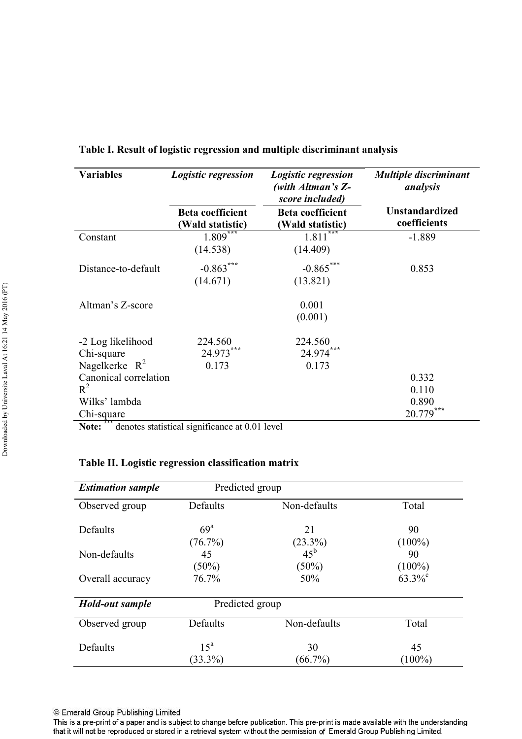| <b>Variables</b>                                              | Logistic regression                         | Logistic regression<br>(with Altman's Z-<br>score included) | <b>Multiple discriminant</b><br>analysis |
|---------------------------------------------------------------|---------------------------------------------|-------------------------------------------------------------|------------------------------------------|
|                                                               | <b>Beta coefficient</b><br>(Wald statistic) | <b>Beta coefficient</b><br>(Wald statistic)                 | <b>Unstandardized</b><br>coefficients    |
| Constant                                                      | $1.809***$<br>(14.538)                      | 1.811<br>(14.409)                                           | $-1.889$                                 |
| Distance-to-default                                           | $-0.863***$<br>(14.671)                     | $-0.865***$<br>(13.821)                                     | 0.853                                    |
| Altman's Z-score                                              |                                             | 0.001<br>(0.001)                                            |                                          |
| -2 Log likelihood<br>Chi-square<br>Nagelkerke $R^2$           | 224.560<br>24.973***<br>0.173               | 224.560<br>24.974***<br>0.173                               |                                          |
| Canonical correlation<br>$R^2$<br>Wilks' lambda<br>Chi-square |                                             |                                                             | 0.332<br>0.110<br>0.890<br>***<br>20.779 |

#### Table I. Result of logistic regression and multiple discriminant analysis

**Note:** \*\*\* denotes statistical significance at 0.01 level

# Table II. Logistic regression classification matrix

| <b>Estimation sample</b> | Predicted group               |                                           |                       |  |
|--------------------------|-------------------------------|-------------------------------------------|-----------------------|--|
| Observed group           | Defaults                      | Non-defaults                              | Total                 |  |
| Defaults                 | 69 <sup>a</sup><br>(76.7%)    | 21                                        | 90<br>$(100\%)$       |  |
| Non-defaults             | 45<br>$(50\%)$                | $(23.3\%)$<br>45 <sup>b</sup><br>$(50\%)$ | 90<br>$(100\%)$       |  |
| Overall accuracy         | 76.7%                         | 50%                                       | $63.3\%$ <sup>c</sup> |  |
| Hold-out sample          | Predicted group               |                                           |                       |  |
| Observed group           | Defaults                      | Non-defaults                              | Total                 |  |
| Defaults                 | 15 <sup>a</sup><br>$(33.3\%)$ | 30<br>$(66.7\%)$                          | 45<br>$(100\%)$       |  |

This is a pre-print of a paper and is subject to change before publication. This pre-print is made available with the understanding that it will not be reproduced or stored in a retrieval system without the permission of Emerald Group Publishing Limited.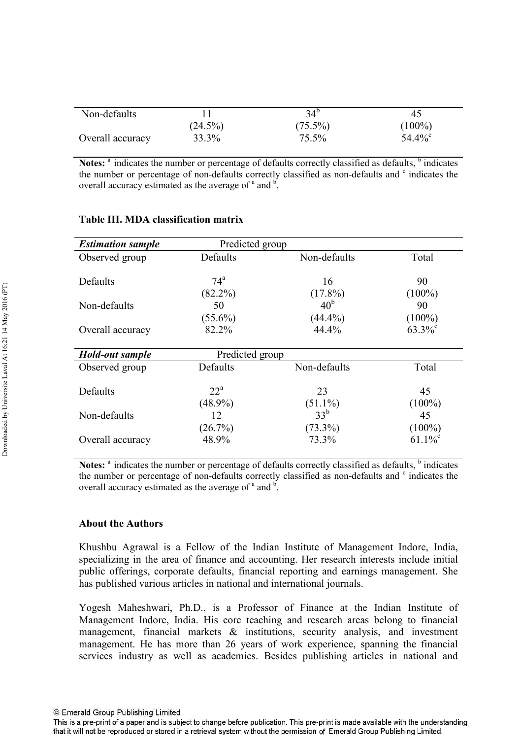| Non-defaults     |            | 34 <sup>b</sup> | 45                    |
|------------------|------------|-----------------|-----------------------|
|                  | $(24.5\%)$ | $(75.5\%)$      | $(100\%)$             |
| Overall accuracy | 33.3%      | 75.5%           | $54.4\%$ <sup>c</sup> |

Notes: <sup>a</sup> indicates the number or percentage of defaults correctly classified as defaults, <sup>b</sup> indicates the number or percentage of non-defaults correctly classified as non-defaults and <sup>c</sup> indicates the overall accuracy estimated as the average of  $a$  and  $b$ .

| <b>Estimation sample</b> | Predicted group                 |                                    |                                    |
|--------------------------|---------------------------------|------------------------------------|------------------------------------|
| Observed group           | Defaults                        | Non-defaults                       | Total                              |
| Defaults                 | $74^{\mathrm{a}}$<br>$(82.2\%)$ | 16<br>$(17.8\%)$                   | 90<br>$(100\%)$                    |
| Non-defaults             | 50                              | 40 <sup>b</sup>                    | 90                                 |
| Overall accuracy         | $(55.6\%)$<br>82.2%             | $(44.4\%)$<br>44.4%                | $(100\%)$<br>$63.3\%$ <sup>c</sup> |
| Hold-out sample          | Predicted group                 |                                    |                                    |
| Observed group           | Defaults                        | Non-defaults                       | Total                              |
| Defaults                 | $22^{\mathrm{a}}$               | 23                                 | 45                                 |
| Non-defaults             | $(48.9\%)$<br>12<br>(26.7%)     | $(51.1\%)$<br>$33^b$<br>$(73.3\%)$ | $(100\%)$<br>45<br>$(100\%)$       |
| Overall accuracy         | 48.9%                           | 73.3%                              | $61.1\%$ <sup>c</sup>              |

# Table III. MDA classification matrix

Notes: <sup>a</sup> indicates the number or percentage of defaults correctly classified as defaults, <sup>b</sup> indicates the number or percentage of non-defaults correctly classified as non-defaults and <sup>c</sup> indicates the overall accuracy estimated as the average of  $a$  and  $b$ .

# About the Authors

Khushbu Agrawal is a Fellow of the Indian Institute of Management Indore, India, specializing in the area of finance and accounting. Her research interests include initial public offerings, corporate defaults, financial reporting and earnings management. She has published various articles in national and international journals.

Yogesh Maheshwari, Ph.D., is a Professor of Finance at the Indian Institute of Management Indore, India. His core teaching and research areas belong to financial management, financial markets & institutions, security analysis, and investment management. He has more than 26 years of work experience, spanning the financial services industry as well as academics. Besides publishing articles in national and

This is a pre-print of a paper and is subject to change before publication. This pre-print is made available with the understanding that it will not be reproduced or stored in a retrieval system without the permission of Emerald Group Publishing Limited.